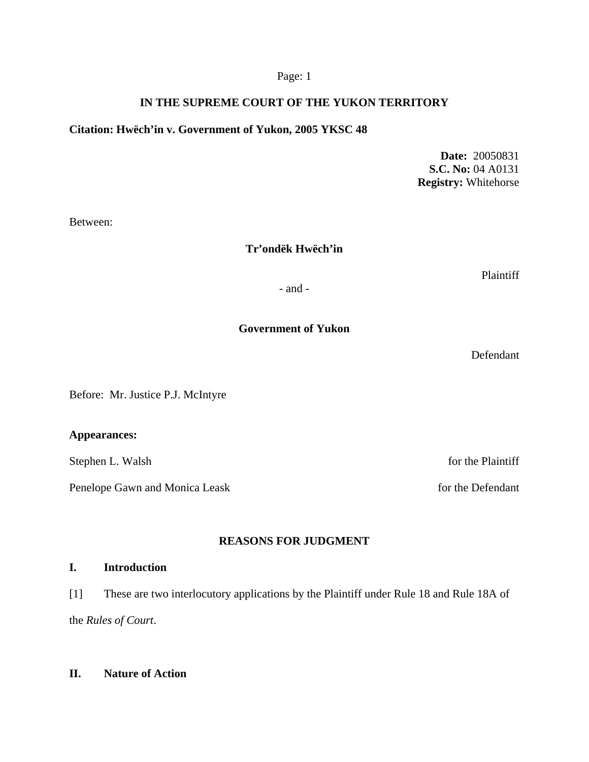# **IN THE SUPREME COURT OF THE YUKON TERRITORY**

## **Citation: Hwëch'in v. Government of Yukon, 2005 YKSC 48**

**Date:** 20050831 **S.C. No:** 04 A0131 **Registry:** Whitehorse

Between:

## **Tr'ondëk Hwëch'in**

Plaintiff

- and -

## **Government of Yukon**

Defendant

Before: Mr. Justice P.J. McIntyre

## **Appearances:**

Stephen L. Walsh for the Plaintiff

Penelope Gawn and Monica Leask for the Defendant

# **REASONS FOR JUDGMENT**

## **I. Introduction**

[1] These are two interlocutory applications by the Plaintiff under Rule 18 and Rule 18A of the *Rules of Court*.

## **II. Nature of Action**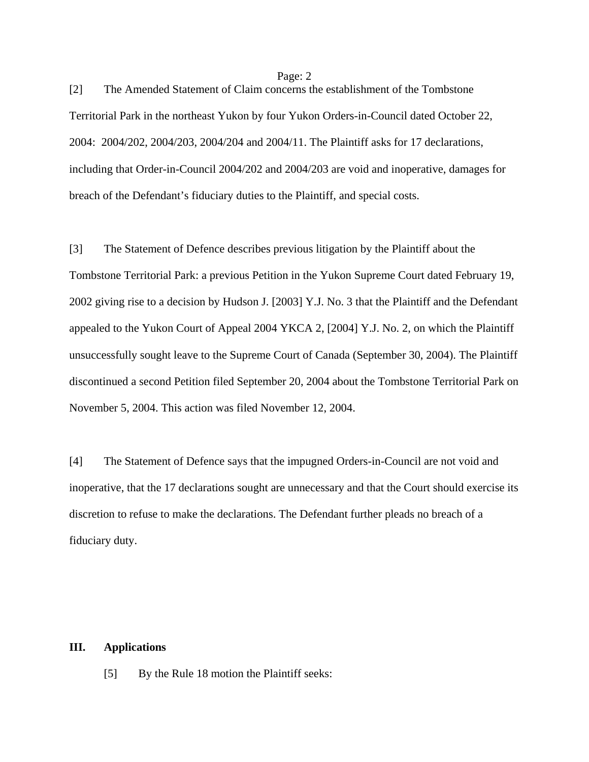[2] The Amended Statement of Claim concerns the establishment of the Tombstone Territorial Park in the northeast Yukon by four Yukon Orders-in-Council dated October 22, 2004: 2004/202, 2004/203, 2004/204 and 2004/11. The Plaintiff asks for 17 declarations, including that Order-in-Council 2004/202 and 2004/203 are void and inoperative, damages for breach of the Defendant's fiduciary duties to the Plaintiff, and special costs.

[3] The Statement of Defence describes previous litigation by the Plaintiff about the Tombstone Territorial Park: a previous Petition in the Yukon Supreme Court dated February 19, 2002 giving rise to a decision by Hudson J. [2003] Y.J. No. 3 that the Plaintiff and the Defendant appealed to the Yukon Court of Appeal 2004 YKCA 2, [2004] Y.J. No. 2, on which the Plaintiff unsuccessfully sought leave to the Supreme Court of Canada (September 30, 2004). The Plaintiff discontinued a second Petition filed September 20, 2004 about the Tombstone Territorial Park on November 5, 2004. This action was filed November 12, 2004.

[4] The Statement of Defence says that the impugned Orders-in-Council are not void and inoperative, that the 17 declarations sought are unnecessary and that the Court should exercise its discretion to refuse to make the declarations. The Defendant further pleads no breach of a fiduciary duty.

### **III. Applications**

[5] By the Rule 18 motion the Plaintiff seeks: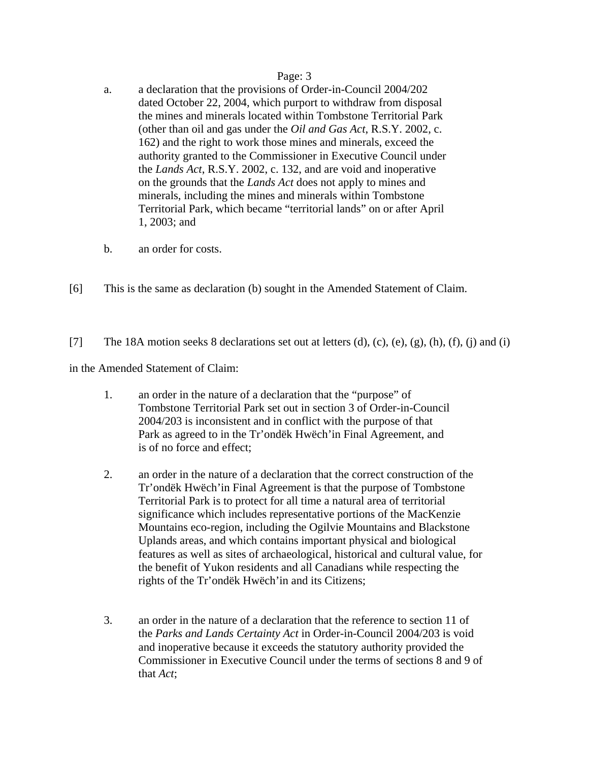- a. a declaration that the provisions of Order-in-Council 2004/202 dated October 22, 2004, which purport to withdraw from disposal the mines and minerals located within Tombstone Territorial Park (other than oil and gas under the *Oil and Gas Act*, R.S.Y. 2002, c. 162) and the right to work those mines and minerals, exceed the authority granted to the Commissioner in Executive Council under the *Lands Act*, R.S.Y. 2002, c. 132, and are void and inoperative on the grounds that the *Lands Act* does not apply to mines and minerals, including the mines and minerals within Tombstone Territorial Park, which became "territorial lands" on or after April 1, 2003; and
- b. an order for costs.
- [6] This is the same as declaration (b) sought in the Amended Statement of Claim.
- [7] The 18A motion seeks 8 declarations set out at letters  $(d)$ ,  $(c)$ ,  $(e)$ ,  $(g)$ ,  $(h)$ ,  $(f)$ ,  $(i)$  and  $(i)$

in the Amended Statement of Claim:

- 1. an order in the nature of a declaration that the "purpose" of Tombstone Territorial Park set out in section 3 of Order-in-Council 2004/203 is inconsistent and in conflict with the purpose of that Park as agreed to in the Tr'ondëk Hwëch'in Final Agreement, and is of no force and effect;
- 2. an order in the nature of a declaration that the correct construction of the Tr'ondëk Hwëch'in Final Agreement is that the purpose of Tombstone Territorial Park is to protect for all time a natural area of territorial significance which includes representative portions of the MacKenzie Mountains eco-region, including the Ogilvie Mountains and Blackstone Uplands areas, and which contains important physical and biological features as well as sites of archaeological, historical and cultural value, for the benefit of Yukon residents and all Canadians while respecting the rights of the Tr'ondëk Hwëch'in and its Citizens;
- 3. an order in the nature of a declaration that the reference to section 11 of the *Parks and Lands Certainty Act* in Order-in-Council 2004/203 is void and inoperative because it exceeds the statutory authority provided the Commissioner in Executive Council under the terms of sections 8 and 9 of that *Act*;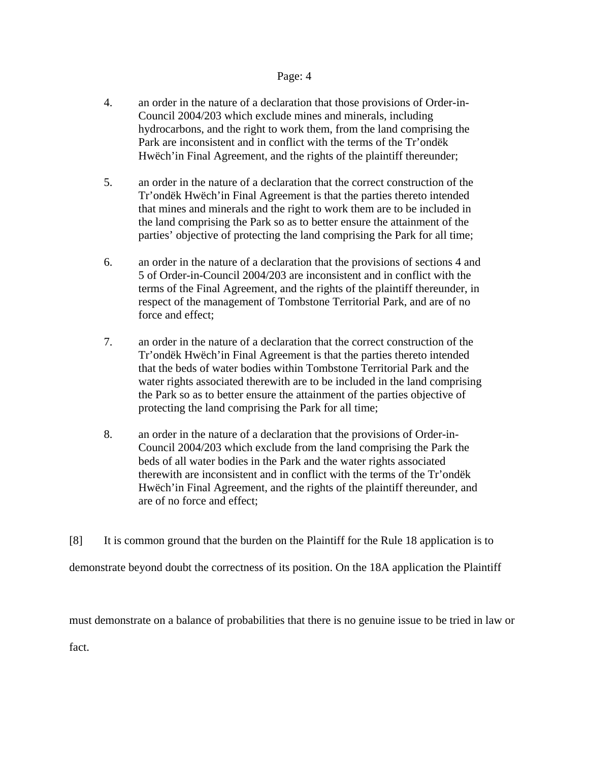- 4. an order in the nature of a declaration that those provisions of Order-in-Council 2004/203 which exclude mines and minerals, including hydrocarbons, and the right to work them, from the land comprising the Park are inconsistent and in conflict with the terms of the Tr'ondëk Hwëch'in Final Agreement, and the rights of the plaintiff thereunder;
- 5. an order in the nature of a declaration that the correct construction of the Tr'ondëk Hwëch'in Final Agreement is that the parties thereto intended that mines and minerals and the right to work them are to be included in the land comprising the Park so as to better ensure the attainment of the parties' objective of protecting the land comprising the Park for all time;
- 6. an order in the nature of a declaration that the provisions of sections 4 and 5 of Order-in-Council 2004/203 are inconsistent and in conflict with the terms of the Final Agreement, and the rights of the plaintiff thereunder, in respect of the management of Tombstone Territorial Park, and are of no force and effect;
- 7. an order in the nature of a declaration that the correct construction of the Tr'ondëk Hwëch'in Final Agreement is that the parties thereto intended that the beds of water bodies within Tombstone Territorial Park and the water rights associated therewith are to be included in the land comprising the Park so as to better ensure the attainment of the parties objective of protecting the land comprising the Park for all time;
- 8. an order in the nature of a declaration that the provisions of Order-in-Council 2004/203 which exclude from the land comprising the Park the beds of all water bodies in the Park and the water rights associated therewith are inconsistent and in conflict with the terms of the Tr'ondëk Hwëch'in Final Agreement, and the rights of the plaintiff thereunder, and are of no force and effect;
- [8] It is common ground that the burden on the Plaintiff for the Rule 18 application is to

demonstrate beyond doubt the correctness of its position. On the 18A application the Plaintiff

must demonstrate on a balance of probabilities that there is no genuine issue to be tried in law or

fact.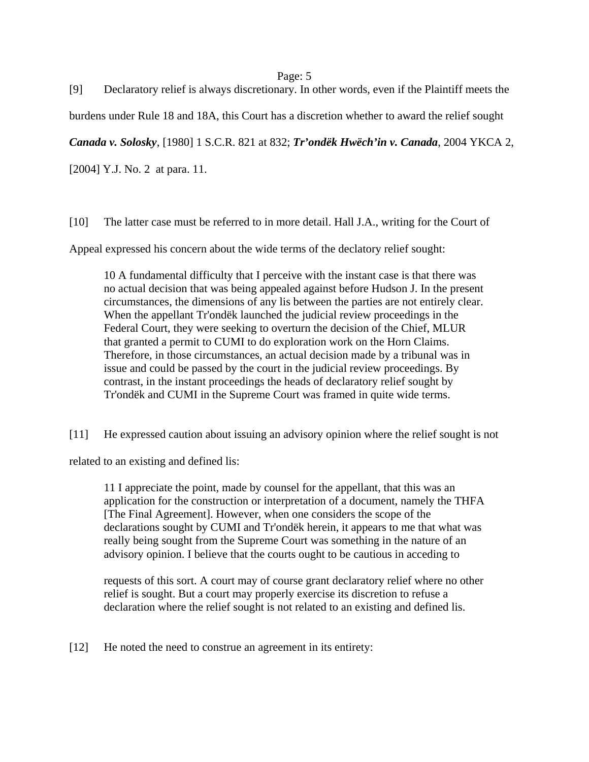[9] Declaratory relief is always discretionary. In other words, even if the Plaintiff meets the burdens under Rule 18 and 18A, this Court has a discretion whether to award the relief sought

*Canada v. Solosky*, [1980] 1 S.C.R. 821 at 832; *Tr'ondëk Hwëch'in v. Canada*, 2004 YKCA 2,

[2004] Y.J. No. 2 at para. 11.

[10] The latter case must be referred to in more detail. Hall J.A., writing for the Court of

Appeal expressed his concern about the wide terms of the declatory relief sought:

10 A fundamental difficulty that I perceive with the instant case is that there was no actual decision that was being appealed against before Hudson J. In the present circumstances, the dimensions of any lis between the parties are not entirely clear. When the appellant Tr'ondëk launched the judicial review proceedings in the Federal Court, they were seeking to overturn the decision of the Chief, MLUR that granted a permit to CUMI to do exploration work on the Horn Claims. Therefore, in those circumstances, an actual decision made by a tribunal was in issue and could be passed by the court in the judicial review proceedings. By contrast, in the instant proceedings the heads of declaratory relief sought by Tr'ondëk and CUMI in the Supreme Court was framed in quite wide terms.

[11] He expressed caution about issuing an advisory opinion where the relief sought is not

related to an existing and defined lis:

11 I appreciate the point, made by counsel for the appellant, that this was an application for the construction or interpretation of a document, namely the THFA [The Final Agreement]. However, when one considers the scope of the declarations sought by CUMI and Tr'ondëk herein, it appears to me that what was really being sought from the Supreme Court was something in the nature of an advisory opinion. I believe that the courts ought to be cautious in acceding to

requests of this sort. A court may of course grant declaratory relief where no other relief is sought. But a court may properly exercise its discretion to refuse a declaration where the relief sought is not related to an existing and defined lis.

[12] He noted the need to construe an agreement in its entirety: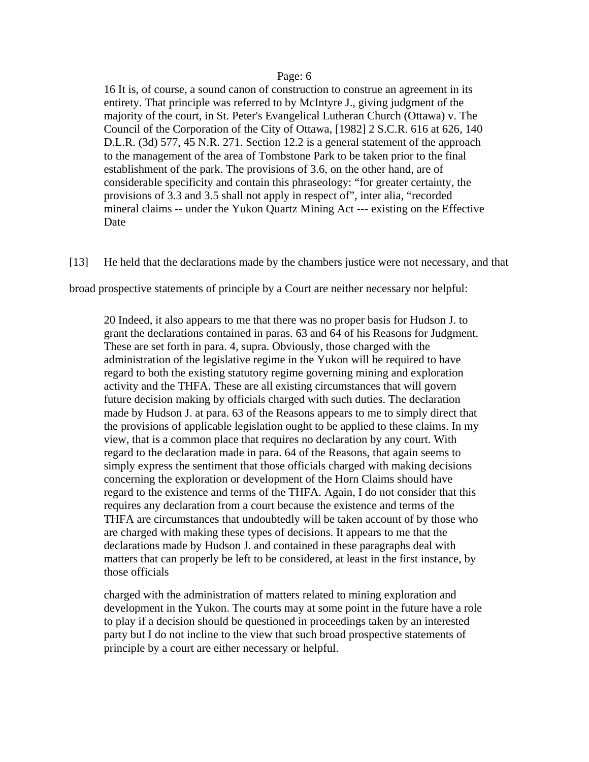16 It is, of course, a sound canon of construction to construe an agreement in its entirety. That principle was referred to by McIntyre J., giving judgment of the majority of the court, in St. Peter's Evangelical Lutheran Church (Ottawa) v. The Council of the Corporation of the City of Ottawa, [1982] 2 S.C.R. 616 at 626, 140 D.L.R. (3d) 577, 45 N.R. 271. Section 12.2 is a general statement of the approach to the management of the area of Tombstone Park to be taken prior to the final establishment of the park. The provisions of 3.6, on the other hand, are of considerable specificity and contain this phraseology: "for greater certainty, the provisions of 3.3 and 3.5 shall not apply in respect of", inter alia, "recorded mineral claims -- under the Yukon Quartz Mining Act --- existing on the Effective Date

[13] He held that the declarations made by the chambers justice were not necessary, and that

broad prospective statements of principle by a Court are neither necessary nor helpful:

20 Indeed, it also appears to me that there was no proper basis for Hudson J. to grant the declarations contained in paras. 63 and 64 of his Reasons for Judgment. These are set forth in para. 4, supra. Obviously, those charged with the administration of the legislative regime in the Yukon will be required to have regard to both the existing statutory regime governing mining and exploration activity and the THFA. These are all existing circumstances that will govern future decision making by officials charged with such duties. The declaration made by Hudson J. at para. 63 of the Reasons appears to me to simply direct that the provisions of applicable legislation ought to be applied to these claims. In my view, that is a common place that requires no declaration by any court. With regard to the declaration made in para. 64 of the Reasons, that again seems to simply express the sentiment that those officials charged with making decisions concerning the exploration or development of the Horn Claims should have regard to the existence and terms of the THFA. Again, I do not consider that this requires any declaration from a court because the existence and terms of the THFA are circumstances that undoubtedly will be taken account of by those who are charged with making these types of decisions. It appears to me that the declarations made by Hudson J. and contained in these paragraphs deal with matters that can properly be left to be considered, at least in the first instance, by those officials

charged with the administration of matters related to mining exploration and development in the Yukon. The courts may at some point in the future have a role to play if a decision should be questioned in proceedings taken by an interested party but I do not incline to the view that such broad prospective statements of principle by a court are either necessary or helpful.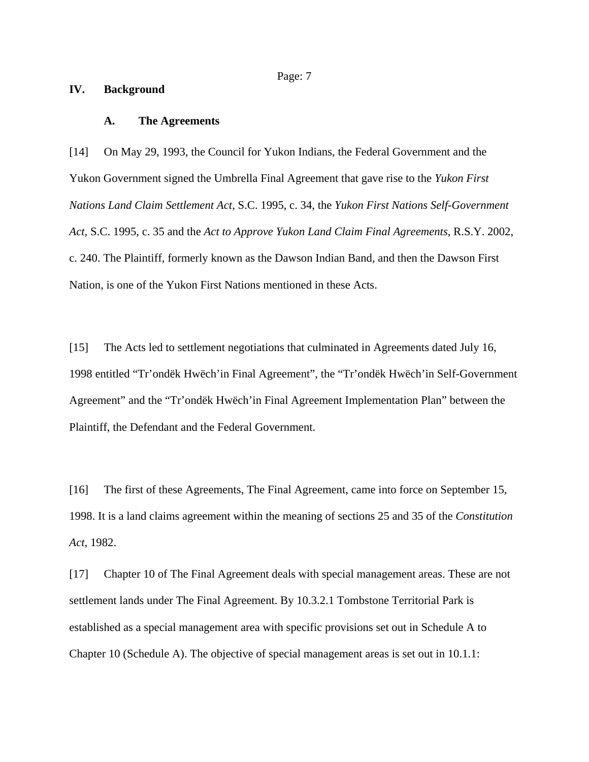#### **IV. Background**

#### **A. The Agreements**

[14] On May 29, 1993, the Council for Yukon Indians, the Federal Government and the Yukon Government signed the Umbrella Final Agreement that gave rise to the *Yukon First Nations Land Claim Settlement Act*, S.C. 1995, c. 34, the *Yukon First Nations Self-Government Act*, S.C. 1995, c. 35 and the *Act to Approve Yukon Land Claim Final Agreements*, R.S.Y. 2002, c. 240. The Plaintiff, formerly known as the Dawson Indian Band, and then the Dawson First Nation, is one of the Yukon First Nations mentioned in these Acts.

[15] The Acts led to settlement negotiations that culminated in Agreements dated July 16, 1998 entitled "Tr'ondëk Hwëch'in Final Agreement", the "Tr'ondëk Hwëch'in Self-Government Agreement" and the "Tr'ondëk Hwëch'in Final Agreement Implementation Plan" between the Plaintiff, the Defendant and the Federal Government.

[16] The first of these Agreements, The Final Agreement, came into force on September 15, 1998. It is a land claims agreement within the meaning of sections 25 and 35 of the *Constitution Act*, 1982.

[17] Chapter 10 of The Final Agreement deals with special management areas. These are not settlement lands under The Final Agreement. By 10.3.2.1 Tombstone Territorial Park is established as a special management area with specific provisions set out in Schedule A to Chapter 10 (Schedule A). The objective of special management areas is set out in 10.1.1: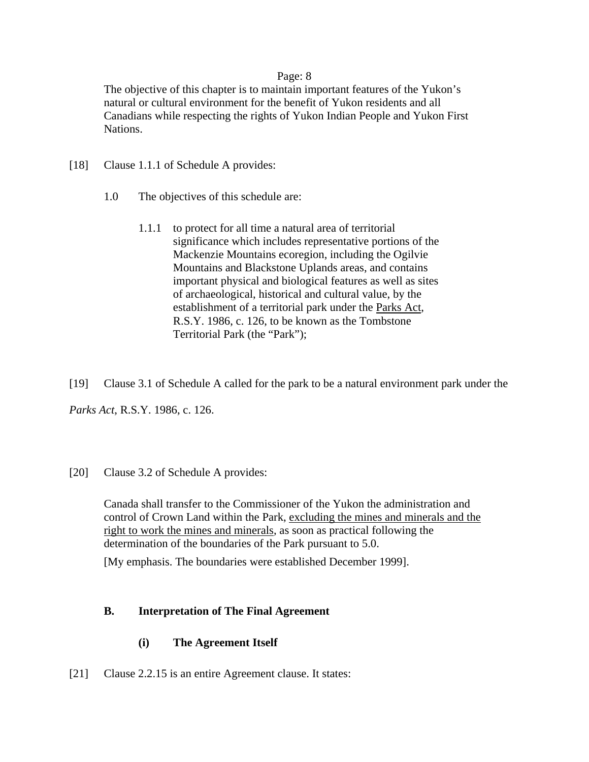The objective of this chapter is to maintain important features of the Yukon's natural or cultural environment for the benefit of Yukon residents and all Canadians while respecting the rights of Yukon Indian People and Yukon First Nations.

- [18] Clause 1.1.1 of Schedule A provides:
	- 1.0 The objectives of this schedule are:
		- 1.1.1 to protect for all time a natural area of territorial significance which includes representative portions of the Mackenzie Mountains ecoregion, including the Ogilvie Mountains and Blackstone Uplands areas, and contains important physical and biological features as well as sites of archaeological, historical and cultural value, by the establishment of a territorial park under the Parks Act, R.S.Y. 1986, c. 126, to be known as the Tombstone Territorial Park (the "Park");
- [19] Clause 3.1 of Schedule A called for the park to be a natural environment park under the

*Parks Act*, R.S.Y. 1986, c. 126.

[20] Clause 3.2 of Schedule A provides:

Canada shall transfer to the Commissioner of the Yukon the administration and control of Crown Land within the Park, excluding the mines and minerals and the right to work the mines and minerals, as soon as practical following the determination of the boundaries of the Park pursuant to 5.0.

[My emphasis. The boundaries were established December 1999].

# **B. Interpretation of The Final Agreement**

## **(i) The Agreement Itself**

[21] Clause 2.2.15 is an entire Agreement clause. It states: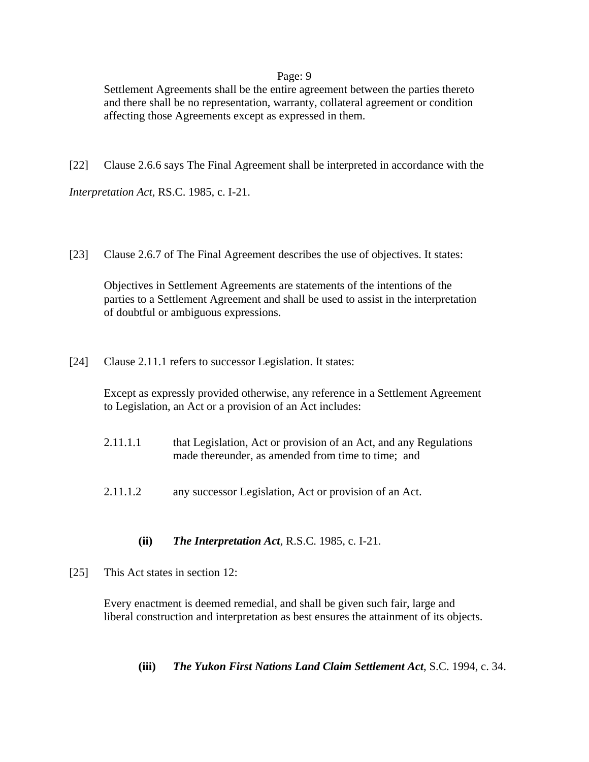Settlement Agreements shall be the entire agreement between the parties thereto and there shall be no representation, warranty, collateral agreement or condition affecting those Agreements except as expressed in them.

[22] Clause 2.6.6 says The Final Agreement shall be interpreted in accordance with the

*Interpretation Act*, RS.C. 1985, c. I-21.

[23] Clause 2.6.7 of The Final Agreement describes the use of objectives. It states:

Objectives in Settlement Agreements are statements of the intentions of the parties to a Settlement Agreement and shall be used to assist in the interpretation of doubtful or ambiguous expressions.

[24] Clause 2.11.1 refers to successor Legislation. It states:

Except as expressly provided otherwise, any reference in a Settlement Agreement to Legislation, an Act or a provision of an Act includes:

- 2.11.1.1 that Legislation, Act or provision of an Act, and any Regulations made thereunder, as amended from time to time; and
- 2.11.1.2 any successor Legislation, Act or provision of an Act.

## **(ii)** *The Interpretation Act*, R.S.C. 1985, c. I-21.

[25] This Act states in section 12:

Every enactment is deemed remedial, and shall be given such fair, large and liberal construction and interpretation as best ensures the attainment of its objects.

**(iii)** *The Yukon First Nations Land Claim Settlement Act*, S.C. 1994, c. 34.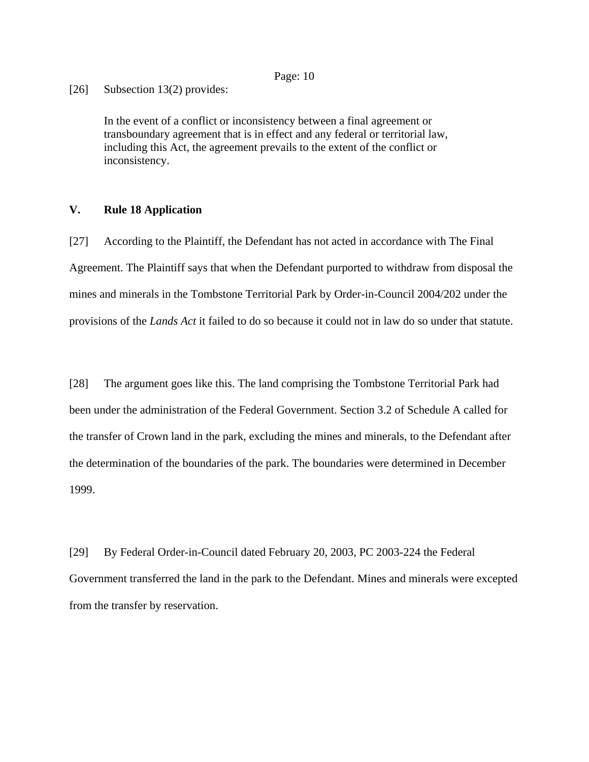[26] Subsection 13(2) provides:

In the event of a conflict or inconsistency between a final agreement or transboundary agreement that is in effect and any federal or territorial law, including this Act, the agreement prevails to the extent of the conflict or inconsistency.

#### **V. Rule 18 Application**

[27] According to the Plaintiff, the Defendant has not acted in accordance with The Final Agreement. The Plaintiff says that when the Defendant purported to withdraw from disposal the mines and minerals in the Tombstone Territorial Park by Order-in-Council 2004/202 under the provisions of the *Lands Act* it failed to do so because it could not in law do so under that statute.

[28] The argument goes like this. The land comprising the Tombstone Territorial Park had been under the administration of the Federal Government. Section 3.2 of Schedule A called for the transfer of Crown land in the park, excluding the mines and minerals, to the Defendant after the determination of the boundaries of the park. The boundaries were determined in December 1999.

[29] By Federal Order-in-Council dated February 20, 2003, PC 2003-224 the Federal Government transferred the land in the park to the Defendant. Mines and minerals were excepted from the transfer by reservation.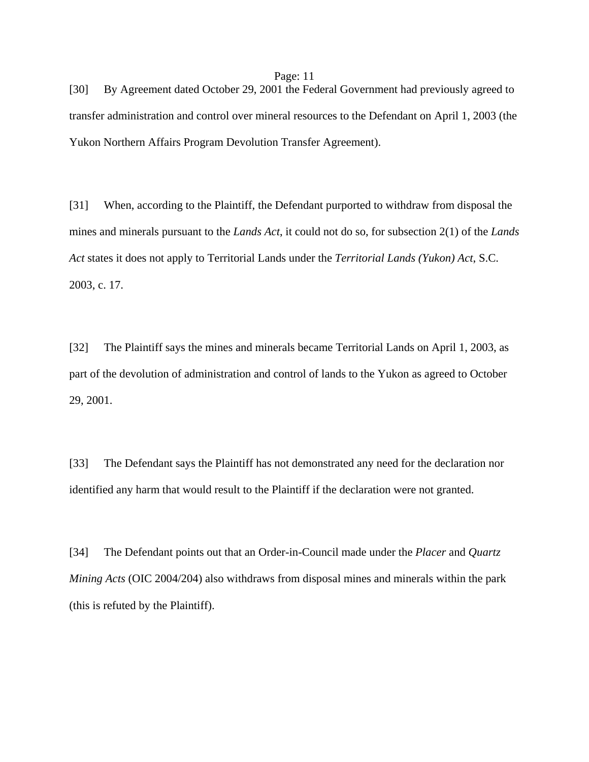[30] By Agreement dated October 29, 2001 the Federal Government had previously agreed to transfer administration and control over mineral resources to the Defendant on April 1, 2003 (the Yukon Northern Affairs Program Devolution Transfer Agreement).

[31] When, according to the Plaintiff, the Defendant purported to withdraw from disposal the mines and minerals pursuant to the *Lands Act*, it could not do so, for subsection 2(1) of the *Lands Act* states it does not apply to Territorial Lands under the *Territorial Lands (Yukon) Act*, S.C. 2003, c. 17.

[32] The Plaintiff says the mines and minerals became Territorial Lands on April 1, 2003, as part of the devolution of administration and control of lands to the Yukon as agreed to October 29, 2001.

[33] The Defendant says the Plaintiff has not demonstrated any need for the declaration nor identified any harm that would result to the Plaintiff if the declaration were not granted.

[34] The Defendant points out that an Order-in-Council made under the *Placer* and *Quartz Mining Acts* (OIC 2004/204) also withdraws from disposal mines and minerals within the park (this is refuted by the Plaintiff).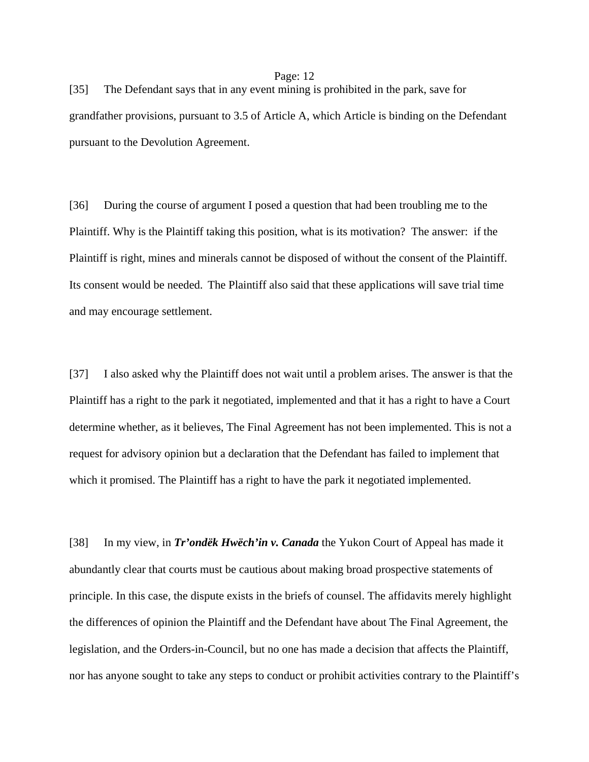[35] The Defendant says that in any event mining is prohibited in the park, save for grandfather provisions, pursuant to 3.5 of Article A, which Article is binding on the Defendant pursuant to the Devolution Agreement.

[36] During the course of argument I posed a question that had been troubling me to the Plaintiff. Why is the Plaintiff taking this position, what is its motivation? The answer: if the Plaintiff is right, mines and minerals cannot be disposed of without the consent of the Plaintiff. Its consent would be needed. The Plaintiff also said that these applications will save trial time and may encourage settlement.

[37] I also asked why the Plaintiff does not wait until a problem arises. The answer is that the Plaintiff has a right to the park it negotiated, implemented and that it has a right to have a Court determine whether, as it believes, The Final Agreement has not been implemented. This is not a request for advisory opinion but a declaration that the Defendant has failed to implement that which it promised. The Plaintiff has a right to have the park it negotiated implemented.

[38] In my view, in *Tr'ondëk Hwëch'in v. Canada* the Yukon Court of Appeal has made it abundantly clear that courts must be cautious about making broad prospective statements of principle. In this case, the dispute exists in the briefs of counsel. The affidavits merely highlight the differences of opinion the Plaintiff and the Defendant have about The Final Agreement, the legislation, and the Orders-in-Council, but no one has made a decision that affects the Plaintiff, nor has anyone sought to take any steps to conduct or prohibit activities contrary to the Plaintiff's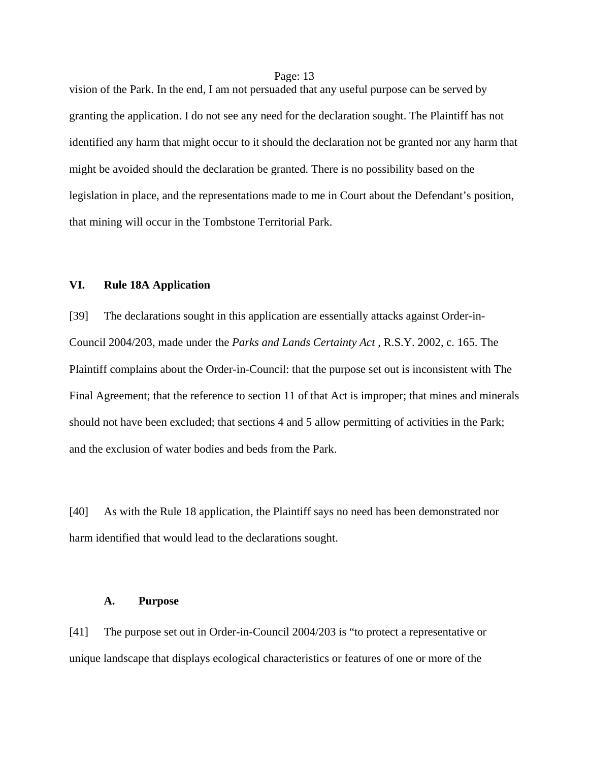vision of the Park. In the end, I am not persuaded that any useful purpose can be served by granting the application. I do not see any need for the declaration sought. The Plaintiff has not identified any harm that might occur to it should the declaration not be granted nor any harm that might be avoided should the declaration be granted. There is no possibility based on the legislation in place, and the representations made to me in Court about the Defendant's position, that mining will occur in the Tombstone Territorial Park.

### **VI. Rule 18A Application**

[39] The declarations sought in this application are essentially attacks against Order-in-Council 2004/203, made under the *Parks and Lands Certainty Act* , R.S.Y. 2002, c. 165. The Plaintiff complains about the Order-in-Council: that the purpose set out is inconsistent with The Final Agreement; that the reference to section 11 of that Act is improper; that mines and minerals should not have been excluded; that sections 4 and 5 allow permitting of activities in the Park; and the exclusion of water bodies and beds from the Park.

[40] As with the Rule 18 application, the Plaintiff says no need has been demonstrated nor harm identified that would lead to the declarations sought.

#### **A. Purpose**

[41] The purpose set out in Order-in-Council 2004/203 is "to protect a representative or unique landscape that displays ecological characteristics or features of one or more of the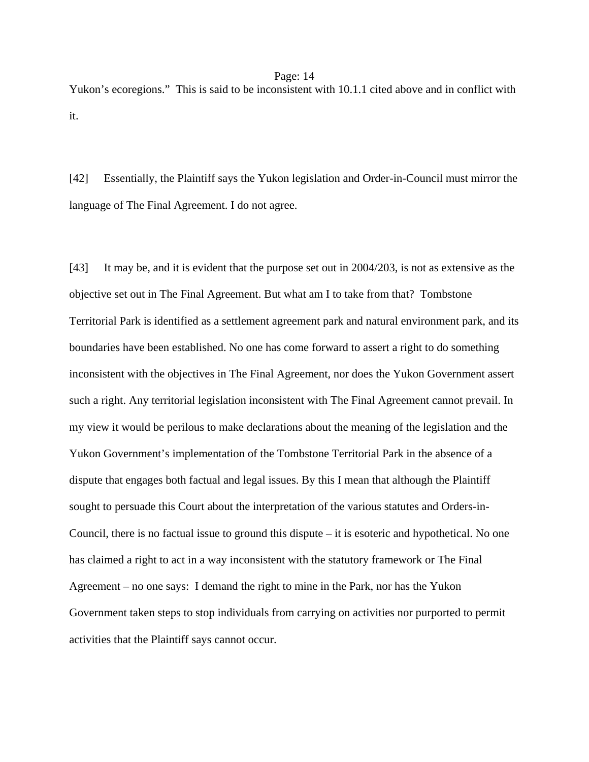Yukon's ecoregions." This is said to be inconsistent with 10.1.1 cited above and in conflict with it.

[42] Essentially, the Plaintiff says the Yukon legislation and Order-in-Council must mirror the language of The Final Agreement. I do not agree.

[43] It may be, and it is evident that the purpose set out in 2004/203, is not as extensive as the objective set out in The Final Agreement. But what am I to take from that? Tombstone Territorial Park is identified as a settlement agreement park and natural environment park, and its boundaries have been established. No one has come forward to assert a right to do something inconsistent with the objectives in The Final Agreement, nor does the Yukon Government assert such a right. Any territorial legislation inconsistent with The Final Agreement cannot prevail. In my view it would be perilous to make declarations about the meaning of the legislation and the Yukon Government's implementation of the Tombstone Territorial Park in the absence of a dispute that engages both factual and legal issues. By this I mean that although the Plaintiff sought to persuade this Court about the interpretation of the various statutes and Orders-in-Council, there is no factual issue to ground this dispute – it is esoteric and hypothetical. No one has claimed a right to act in a way inconsistent with the statutory framework or The Final Agreement – no one says: I demand the right to mine in the Park, nor has the Yukon Government taken steps to stop individuals from carrying on activities nor purported to permit activities that the Plaintiff says cannot occur.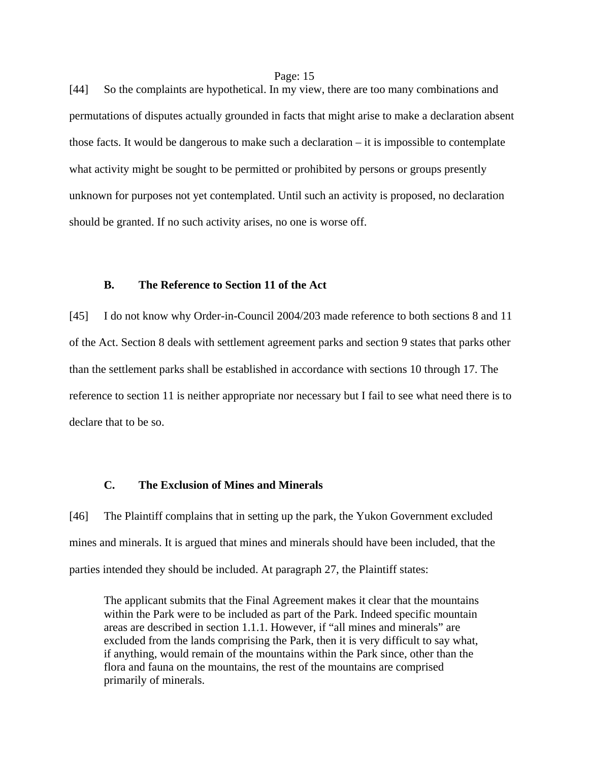[44] So the complaints are hypothetical. In my view, there are too many combinations and permutations of disputes actually grounded in facts that might arise to make a declaration absent those facts. It would be dangerous to make such a declaration – it is impossible to contemplate what activity might be sought to be permitted or prohibited by persons or groups presently unknown for purposes not yet contemplated. Until such an activity is proposed, no declaration should be granted. If no such activity arises, no one is worse off.

#### **B. The Reference to Section 11 of the Act**

[45] I do not know why Order-in-Council 2004/203 made reference to both sections 8 and 11 of the Act. Section 8 deals with settlement agreement parks and section 9 states that parks other than the settlement parks shall be established in accordance with sections 10 through 17. The reference to section 11 is neither appropriate nor necessary but I fail to see what need there is to declare that to be so.

#### **C. The Exclusion of Mines and Minerals**

[46] The Plaintiff complains that in setting up the park, the Yukon Government excluded mines and minerals. It is argued that mines and minerals should have been included, that the parties intended they should be included. At paragraph 27, the Plaintiff states:

The applicant submits that the Final Agreement makes it clear that the mountains within the Park were to be included as part of the Park. Indeed specific mountain areas are described in section 1.1.1. However, if "all mines and minerals" are excluded from the lands comprising the Park, then it is very difficult to say what, if anything, would remain of the mountains within the Park since, other than the flora and fauna on the mountains, the rest of the mountains are comprised primarily of minerals.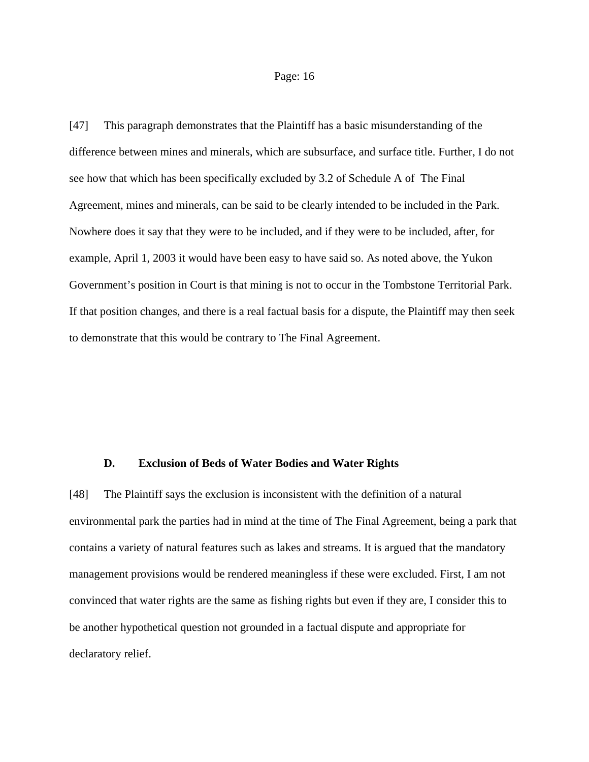[47] This paragraph demonstrates that the Plaintiff has a basic misunderstanding of the difference between mines and minerals, which are subsurface, and surface title. Further, I do not see how that which has been specifically excluded by 3.2 of Schedule A of The Final Agreement, mines and minerals, can be said to be clearly intended to be included in the Park. Nowhere does it say that they were to be included, and if they were to be included, after, for example, April 1, 2003 it would have been easy to have said so. As noted above, the Yukon Government's position in Court is that mining is not to occur in the Tombstone Territorial Park. If that position changes, and there is a real factual basis for a dispute, the Plaintiff may then seek to demonstrate that this would be contrary to The Final Agreement.

#### **D. Exclusion of Beds of Water Bodies and Water Rights**

[48] The Plaintiff says the exclusion is inconsistent with the definition of a natural environmental park the parties had in mind at the time of The Final Agreement, being a park that contains a variety of natural features such as lakes and streams. It is argued that the mandatory management provisions would be rendered meaningless if these were excluded. First, I am not convinced that water rights are the same as fishing rights but even if they are, I consider this to be another hypothetical question not grounded in a factual dispute and appropriate for declaratory relief.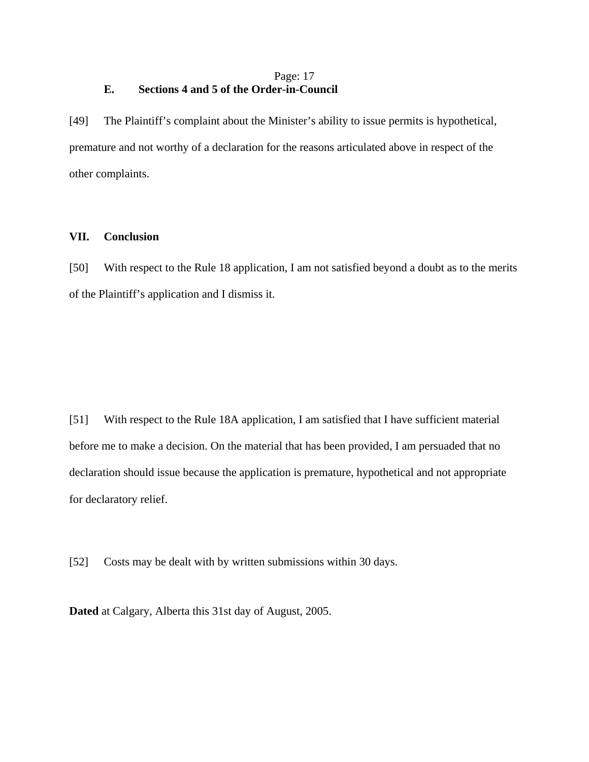## Page: 17 **E. Sections 4 and 5 of the Order-in-Council**

[49] The Plaintiff's complaint about the Minister's ability to issue permits is hypothetical, premature and not worthy of a declaration for the reasons articulated above in respect of the other complaints.

### **VII. Conclusion**

[50] With respect to the Rule 18 application, I am not satisfied beyond a doubt as to the merits of the Plaintiff's application and I dismiss it.

[51] With respect to the Rule 18A application, I am satisfied that I have sufficient material before me to make a decision. On the material that has been provided, I am persuaded that no declaration should issue because the application is premature, hypothetical and not appropriate for declaratory relief.

[52] Costs may be dealt with by written submissions within 30 days.

**Dated** at Calgary, Alberta this 31st day of August, 2005.